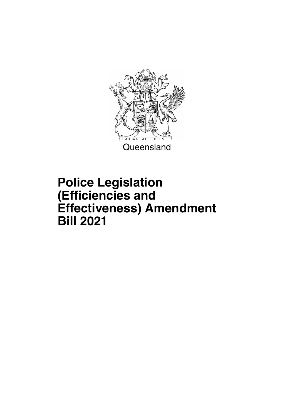

## **Police Legislation (Efficiencies and Effectiveness) Amendment Bill 2021**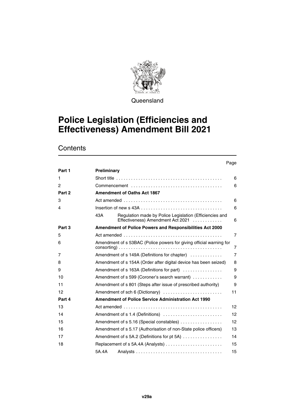

**Queensland** 

### **Police Legislation (Efficiencies and Effectiveness) Amendment Bill 2021**

### **Contents**

#### Page

| Part 1         | Preliminary                                                                                                                                                                                |                   |  |  |  |  |  |
|----------------|--------------------------------------------------------------------------------------------------------------------------------------------------------------------------------------------|-------------------|--|--|--|--|--|
| 1              |                                                                                                                                                                                            | 6                 |  |  |  |  |  |
| $\overline{c}$ | 6                                                                                                                                                                                          |                   |  |  |  |  |  |
| Part 2         | <b>Amendment of Oaths Act 1867</b>                                                                                                                                                         |                   |  |  |  |  |  |
| 3              |                                                                                                                                                                                            | 6                 |  |  |  |  |  |
| 4              |                                                                                                                                                                                            | 6                 |  |  |  |  |  |
|                | Regulation made by Police Legislation (Efficiencies and<br>43A<br>Effectiveness) Amendment Act 2021                                                                                        | 6                 |  |  |  |  |  |
| Part 3         | Amendment of Police Powers and Responsibilities Act 2000                                                                                                                                   |                   |  |  |  |  |  |
| 5              |                                                                                                                                                                                            | $\overline{7}$    |  |  |  |  |  |
| 6              | Amendment of s 53BAC (Police powers for giving official warning for<br>$consorting) \dots \dots \dots \dots \dots \dots \dots \dots \dots \dots \dots \dots \dots \dots \dots \dots \dots$ | 7                 |  |  |  |  |  |
| 7              | Amendment of s 149A (Definitions for chapter)                                                                                                                                              | $\overline{7}$    |  |  |  |  |  |
| 8              | Amendment of s 154A (Order after digital device has been seized)                                                                                                                           | 8                 |  |  |  |  |  |
| 9              | Amendment of s 163A (Definitions for part)                                                                                                                                                 | 9                 |  |  |  |  |  |
| 10             | Amendment of s 599 (Coroner's search warrant)                                                                                                                                              | 9                 |  |  |  |  |  |
| 11             | Amendment of s 801 (Steps after issue of prescribed authority)                                                                                                                             | 9                 |  |  |  |  |  |
| 12             | Amendment of sch 6 (Dictionary)                                                                                                                                                            | 11                |  |  |  |  |  |
| Part 4         | Amendment of Police Service Administration Act 1990                                                                                                                                        |                   |  |  |  |  |  |
| 13             |                                                                                                                                                                                            | 12 <sup>2</sup>   |  |  |  |  |  |
| 14             | Amendment of $s$ 1.4 (Definitions) $\ldots \ldots \ldots \ldots \ldots \ldots \ldots$                                                                                                      | 12                |  |  |  |  |  |
| 15             | Amendment of s 5.16 (Special constables)                                                                                                                                                   | $12 \overline{ }$ |  |  |  |  |  |
| 16             | Amendment of s 5.17 (Authorisation of non-State police officers)                                                                                                                           | 13                |  |  |  |  |  |
| 17             | Amendment of s 5A.2 (Definitions for pt 5A)                                                                                                                                                | 14                |  |  |  |  |  |
| 18             |                                                                                                                                                                                            | 15                |  |  |  |  |  |
|                | 5A.4A                                                                                                                                                                                      | 15                |  |  |  |  |  |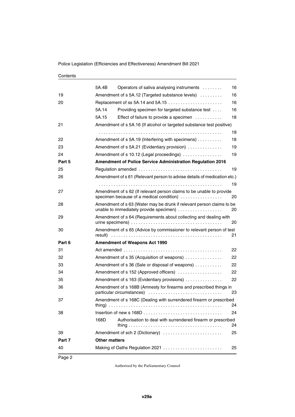#### **Contents**

|        |                                      | Making of Oaths Regulation 2021                                                                                  | 25 |
|--------|--------------------------------------|------------------------------------------------------------------------------------------------------------------|----|
| 40     |                                      |                                                                                                                  |    |
| Part 7 | <b>Other matters</b>                 |                                                                                                                  |    |
| 39     |                                      | Amendment of sch 2 (Dictionary)                                                                                  | 25 |
|        | 168D                                 | Authorisation to deal with surrendered firearm or prescribed                                                     | 24 |
| 38     |                                      |                                                                                                                  | 24 |
| 37     |                                      | Amendment of s 168C (Dealing with surrendered firearm or prescribed                                              | 24 |
| 36     |                                      | Amendment of s 168B (Amnesty for firearms and prescribed things in<br>particular circumstances)                  | 23 |
| 35     |                                      | Amendment of s 163 (Evidentiary provisions)                                                                      | 22 |
| 34     |                                      | Amendment of s 152 (Approved officers)                                                                           | 22 |
| 33     |                                      | Amendment of s 36 (Sale or disposal of weapons)                                                                  | 22 |
| 32     |                                      | Amendment of s 35 (Acquisition of weapons)                                                                       | 22 |
| 31     |                                      |                                                                                                                  | 22 |
| Part 6 | <b>Amendment of Weapons Act 1990</b> |                                                                                                                  |    |
| 30     |                                      | Amendment of s 65 (Advice by commissioner to relevant person of test                                             | 21 |
| 29     |                                      | Amendment of s 64 (Requirements about collecting and dealing with                                                | 20 |
| 28     |                                      | Amendment of s 63 (Water may be drunk if relevant person claims to be<br>unable to immediately provide specimen) | 20 |
| 27     |                                      | Amendment of s 62 (If relevant person claims to be unable to provide<br>specimen because of a medical condition) | 20 |
|        |                                      |                                                                                                                  | 19 |
| 26     |                                      | Amendment of s 61 (Relevant person to advise details of medication etc.)                                         |    |
| 25     |                                      |                                                                                                                  | 19 |
| Part 5 |                                      | <b>Amendment of Police Service Administration Regulation 2016</b>                                                |    |
| 24     |                                      | Amendment of s 10.12 (Legal proceedings)                                                                         | 19 |
| 23     |                                      | Amendment of s 5A.21 (Evidentiary provision)                                                                     | 19 |
| 22     |                                      | Amendment of s 5A.19 (Interfering with specimens)                                                                | 18 |
|        |                                      |                                                                                                                  | 18 |
| 21     |                                      | Amendment of s 5A.16 (If alcohol or targeted substance test positive)                                            |    |
|        | 5A.15                                | Effect of failure to provide a specimen                                                                          | 18 |
|        | 5A.14                                | Providing specimen for targeted substance test                                                                   | 16 |
| 20     |                                      |                                                                                                                  | 16 |
| 19     |                                      | Amendment of s 5A.12 (Targeted substance levels)                                                                 | 16 |
|        | 5A.4B                                | Operators of saliva analysing instruments                                                                        | 16 |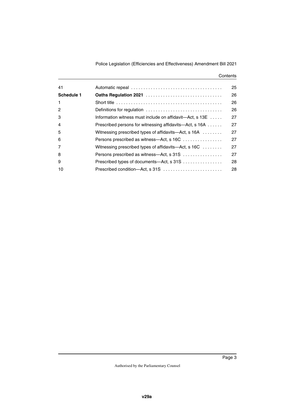#### **Contents**

|                                                          | 25 |
|----------------------------------------------------------|----|
|                                                          | 26 |
|                                                          | 26 |
| Definitions for regulation                               | 26 |
| Information witness must include on affidavit—Act, s 13E | 27 |
| Prescribed persons for witnessing affidavits—Act, s 16A  | 27 |
| Witnessing prescribed types of affidavits—Act, s 16A     | 27 |
| Persons prescribed as witness—Act, s 16C                 | 27 |
| Witnessing prescribed types of affidavits—Act, s $16C$   | 27 |
| Persons prescribed as witness—Act, s 31S                 | 27 |
| Prescribed types of documents—Act, s 31S                 | 28 |
| Prescribed condition—Act, s 31S                          | 28 |
|                                                          |    |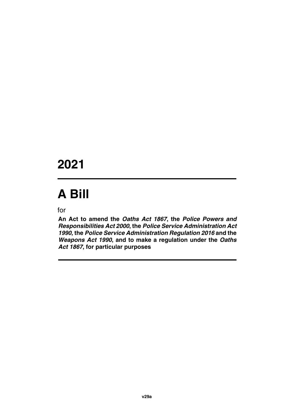## **2021**

# **A Bill**

for

**An Act to amend the** *Oaths Act 1867***, the** *Police Powers and Responsibilities Act 2000***, the** *Police Service Administration Act 1990***, the** *Police Service Administration Regulation 2016* **and the** *Weapons Act 1990***, and to make a regulation under the** *Oaths Act 1867***, for particular purposes**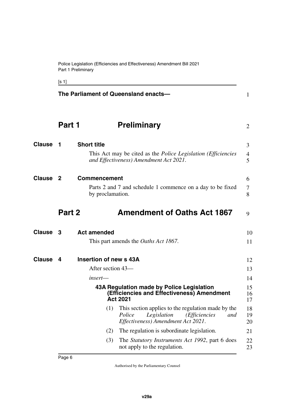Police Legislation (Efficiencies and Effectiveness) Amendment Bill 2021 Part 1 Preliminary

<span id="page-7-13"></span><span id="page-7-7"></span><span id="page-7-5"></span><span id="page-7-3"></span><span id="page-7-1"></span><span id="page-7-0"></span>[s 1]

<span id="page-7-12"></span><span id="page-7-11"></span><span id="page-7-10"></span><span id="page-7-9"></span><span id="page-7-8"></span><span id="page-7-6"></span><span id="page-7-4"></span><span id="page-7-2"></span>

|                 | The Parliament of Queensland enacts- |                                                                                                                                                                                                                        |                            |  |  |  |
|-----------------|--------------------------------------|------------------------------------------------------------------------------------------------------------------------------------------------------------------------------------------------------------------------|----------------------------|--|--|--|
|                 | Part 1                               | <b>Preliminary</b>                                                                                                                                                                                                     | 2                          |  |  |  |
| <b>Clause</b>   | 1                                    | <b>Short title</b><br>This Act may be cited as the <i>Police Legislation (Efficiencies</i><br>and Effectiveness) Amendment Act 2021.                                                                                   | 3<br>4<br>5                |  |  |  |
| <b>Clause 2</b> |                                      | <b>Commencement</b><br>Parts 2 and 7 and schedule 1 commence on a day to be fixed<br>by proclamation.                                                                                                                  | 6<br>7<br>8                |  |  |  |
|                 | Part 2                               | <b>Amendment of Oaths Act 1867</b>                                                                                                                                                                                     | 9                          |  |  |  |
| Clause 3        |                                      | <b>Act amended</b><br>This part amends the <i>Oaths Act 1867</i> .                                                                                                                                                     | 10<br>11                   |  |  |  |
| <b>Clause</b>   | 4                                    | Insertion of new s 43A<br>After section 43-<br>$insert$ —<br>43A Regulation made by Police Legislation                                                                                                                 | 12<br>13<br>14<br>15       |  |  |  |
|                 |                                      | (Efficiencies and Effectiveness) Amendment<br><b>Act 2021</b><br>(1) This section applies to the regulation made by the<br>Legislation<br>Police<br>( <i>Efficiencies</i><br>and<br>Effectiveness) Amendment Act 2021. | 16<br>17<br>18<br>19<br>20 |  |  |  |
|                 |                                      | The regulation is subordinate legislation.<br>(2)<br>(3)<br>The <i>Statutory Instruments Act 1992</i> , part 6 does<br>not apply to the regulation.                                                                    | 21<br>22<br>23             |  |  |  |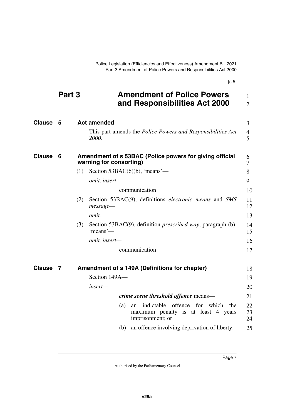<span id="page-8-1"></span>Police Legislation (Efficiencies and Effectiveness) Amendment Bill 2021 Part 3 Amendment of Police Powers and Responsibilities Act 2000

| ٠ | ×  |
|---|----|
| × | ۰, |
|   |    |

<span id="page-8-7"></span><span id="page-8-6"></span><span id="page-8-5"></span><span id="page-8-4"></span><span id="page-8-3"></span><span id="page-8-2"></span><span id="page-8-0"></span>

|               | Part 3 |     |                         | <b>Amendment of Police Powers</b><br>and Responsibilities Act 2000                                   | $\mathbf{1}$<br>$\overline{2}$ |
|---------------|--------|-----|-------------------------|------------------------------------------------------------------------------------------------------|--------------------------------|
| <b>Clause</b> | 5      |     | <b>Act amended</b>      |                                                                                                      | 3                              |
|               |        |     | 2000.                   | This part amends the <i>Police Powers and Responsibilities Act</i>                                   | $\overline{4}$<br>5            |
| <b>Clause</b> | 6      |     | warning for consorting) | Amendment of s 53BAC (Police powers for giving official                                              | 6<br>7                         |
|               |        | (1) |                         | Section $53BAC(6)(b)$ , 'means'—                                                                     | 8                              |
|               |        |     | omit, insert-           |                                                                                                      | 9                              |
|               |        |     |                         | communication                                                                                        | 10                             |
|               |        | (2) |                         | Section 53BAC(9), definitions <i>electronic means</i> and SMS                                        | 11<br>12                       |
|               |        |     | omit.                   |                                                                                                      | 13                             |
|               |        | (3) | 'means'—                | Section 53BAC(9), definition <i>prescribed way</i> , paragraph (b),                                  | 14<br>15                       |
|               |        |     | omit, insert-           |                                                                                                      | 16                             |
|               |        |     |                         | communication                                                                                        | 17                             |
| <b>Clause</b> | 7      |     |                         | Amendment of s 149A (Definitions for chapter)                                                        | 18                             |
|               |        |     | Section 149A-           |                                                                                                      | 19                             |
|               |        |     | insert—                 |                                                                                                      | 20                             |
|               |        |     |                         | <i>crime scene threshold offence means—</i>                                                          | 21                             |
|               |        |     | (a)                     | indictable offence for which<br>the<br>an<br>maximum penalty is at least 4 years<br>imprisonment; or | 22<br>23<br>24                 |
|               |        |     | (b)                     | an offence involving deprivation of liberty.                                                         | 25                             |
|               |        |     |                         |                                                                                                      |                                |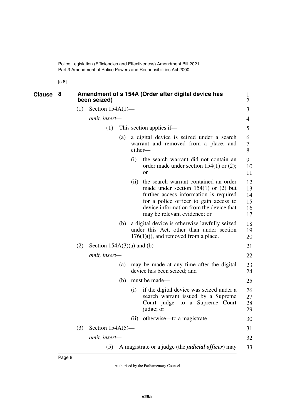<span id="page-9-1"></span><span id="page-9-0"></span>[s 8]

| <b>Clause</b> | 8 |     | been seized)                  |     |      | Amendment of s 154A (Order after digital device has                                                                                                                                                                                            | $\mathbf{1}$<br>$\overline{2}$   |
|---------------|---|-----|-------------------------------|-----|------|------------------------------------------------------------------------------------------------------------------------------------------------------------------------------------------------------------------------------------------------|----------------------------------|
|               |   | (1) | Section $154A(1)$ —           |     |      |                                                                                                                                                                                                                                                | 3                                |
|               |   |     | omit, insert-                 |     |      |                                                                                                                                                                                                                                                | 4                                |
|               |   |     | (1)                           |     |      | This section applies if—                                                                                                                                                                                                                       | 5                                |
|               |   |     |                               | (a) |      | a digital device is seized under a search<br>warrant and removed from a place, and<br>either-                                                                                                                                                  | 6<br>7<br>8                      |
|               |   |     |                               |     | (i)  | the search warrant did not contain an<br>order made under section $154(1)$ or $(2)$ ;<br><b>or</b>                                                                                                                                             | 9<br>10<br>11                    |
|               |   |     |                               |     | (ii) | the search warrant contained an order<br>made under section $154(1)$ or (2) but<br>further access information is required<br>for a police officer to gain access to<br>device information from the device that<br>may be relevant evidence; or | 12<br>13<br>14<br>15<br>16<br>17 |
|               |   |     |                               | (b) |      | a digital device is otherwise lawfully seized<br>under this Act, other than under section<br>$176(1)(j)$ , and removed from a place.                                                                                                           | 18<br>19<br>20                   |
|               |   | (2) | Section $154A(3)(a)$ and (b)— |     |      |                                                                                                                                                                                                                                                | 21                               |
|               |   |     | omit, insert-                 |     |      |                                                                                                                                                                                                                                                | 22                               |
|               |   |     |                               | (a) |      | may be made at any time after the digital<br>device has been seized; and                                                                                                                                                                       | 23<br>24                         |
|               |   |     |                               | (b) |      | must be made—                                                                                                                                                                                                                                  | 25                               |
|               |   |     |                               |     | (i)  | if the digital device was seized under a<br>search warrant issued by a Supreme<br>Court judge—to a Supreme Court<br>judge; or                                                                                                                  | 26<br>27<br>28<br>29             |
|               |   |     |                               |     | (ii) | otherwise—to a magistrate.                                                                                                                                                                                                                     | 30                               |
|               |   | (3) | Section $154A(5)$ —           |     |      |                                                                                                                                                                                                                                                | 31                               |
|               |   |     | omit, insert-                 |     |      |                                                                                                                                                                                                                                                | 32                               |
|               |   |     | (5)                           |     |      | A magistrate or a judge (the <i>judicial officer</i> ) may                                                                                                                                                                                     | 33                               |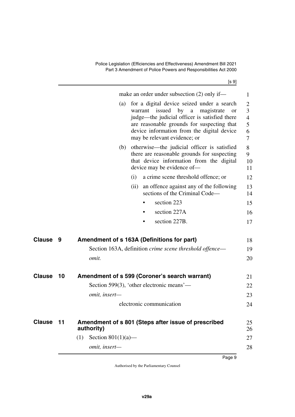Police Legislation (Efficiencies and Effectiveness) Amendment Bill 2021 Part 3 Amendment of Police Powers and Responsibilities Act 2000

[s 9]

<span id="page-10-5"></span><span id="page-10-4"></span><span id="page-10-3"></span><span id="page-10-2"></span><span id="page-10-1"></span><span id="page-10-0"></span>

|               |    | make an order under subsection $(2)$ only if—<br>for a digital device seized under a search<br>(a)<br>issued by<br>magistrate<br>warrant<br>$\mathbf{a}$<br><b>or</b><br>judge—the judicial officer is satisfied there<br>are reasonable grounds for suspecting that<br>device information from the digital device<br>may be relevant evidence; or | 1<br>$\overline{2}$<br>3<br>$\overline{4}$<br>5<br>6<br>$\tau$ |
|---------------|----|----------------------------------------------------------------------------------------------------------------------------------------------------------------------------------------------------------------------------------------------------------------------------------------------------------------------------------------------------|----------------------------------------------------------------|
|               |    | otherwise—the judicial officer is satisfied<br>(b)<br>there are reasonable grounds for suspecting<br>that device information from the digital<br>device may be evidence of-                                                                                                                                                                        | 8<br>9<br>10<br>11                                             |
|               |    | a crime scene threshold offence; or<br>(i)                                                                                                                                                                                                                                                                                                         | 12                                                             |
|               |    | an offence against any of the following<br>(ii)<br>sections of the Criminal Code-                                                                                                                                                                                                                                                                  | 13<br>14                                                       |
|               |    | section 223                                                                                                                                                                                                                                                                                                                                        | 15                                                             |
|               |    | section 227A<br>٠                                                                                                                                                                                                                                                                                                                                  | 16                                                             |
|               |    | section 227B.                                                                                                                                                                                                                                                                                                                                      | 17                                                             |
| Clause        | 9  | Amendment of s 163A (Definitions for part)                                                                                                                                                                                                                                                                                                         | 18                                                             |
|               |    | Section 163A, definition crime scene threshold offence—                                                                                                                                                                                                                                                                                            | 19                                                             |
|               |    | omit.                                                                                                                                                                                                                                                                                                                                              | 20                                                             |
| <b>Clause</b> | 10 | Amendment of s 599 (Coroner's search warrant)                                                                                                                                                                                                                                                                                                      | 21                                                             |
|               |    | Section 599(3), 'other electronic means'—                                                                                                                                                                                                                                                                                                          | 22                                                             |
|               |    | omit, insert-                                                                                                                                                                                                                                                                                                                                      | 23                                                             |
|               |    | electronic communication                                                                                                                                                                                                                                                                                                                           | 24                                                             |
| Clause 11     |    | Amendment of s 801 (Steps after issue of prescribed<br>authority)                                                                                                                                                                                                                                                                                  | 25<br>26                                                       |
|               |    | Section $801(1)(a)$ —<br>(1)                                                                                                                                                                                                                                                                                                                       | 27                                                             |
|               |    | omit, insert-                                                                                                                                                                                                                                                                                                                                      | 28                                                             |
|               |    |                                                                                                                                                                                                                                                                                                                                                    |                                                                |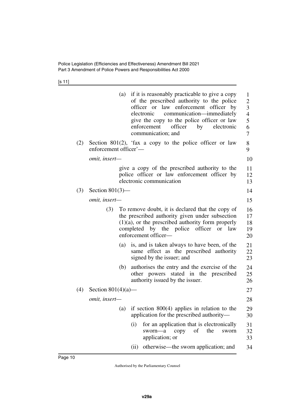[s 11]

|     |                       |     | (a) if it is reasonably practicable to give a copy<br>of the prescribed authority to the police<br>officer or law enforcement officer by<br>communication—immediately<br>electronic<br>give the copy to the police officer or law<br>enforcement<br>officer<br>by<br>electronic<br>communication; and | $\mathbf{1}$<br>$\overline{2}$<br>3<br>$\overline{4}$<br>5<br>6<br>7 |
|-----|-----------------------|-----|-------------------------------------------------------------------------------------------------------------------------------------------------------------------------------------------------------------------------------------------------------------------------------------------------------|----------------------------------------------------------------------|
| (2) | enforcement officer'- |     | Section 801(2), 'fax a copy to the police officer or law                                                                                                                                                                                                                                              | 8<br>9                                                               |
|     | omit, insert-         |     |                                                                                                                                                                                                                                                                                                       | 10                                                                   |
|     |                       |     | give a copy of the prescribed authority to the<br>police officer or law enforcement officer by<br>electronic communication                                                                                                                                                                            | 11<br>12<br>13                                                       |
| (3) | Section $801(3)$ —    |     |                                                                                                                                                                                                                                                                                                       | 14                                                                   |
|     | omit, insert-         |     |                                                                                                                                                                                                                                                                                                       | 15                                                                   |
|     | (3)                   |     | To remove doubt, it is declared that the copy of<br>the prescribed authority given under subsection<br>$(1)(a)$ , or the prescribed authority form properly<br>completed by the police officer or law<br>enforcement officer-                                                                         | 16<br>17<br>18<br>19<br>20                                           |
|     |                       | (a) | is, and is taken always to have been, of the<br>same effect as the prescribed authority<br>signed by the issuer; and                                                                                                                                                                                  | 21<br>22<br>23                                                       |
|     |                       | (b) | authorises the entry and the exercise of the<br>other powers stated in the prescribed<br>authority issued by the issuer.                                                                                                                                                                              | 24<br>25<br>26                                                       |
| (4) | Section $801(4)(a)$ — |     |                                                                                                                                                                                                                                                                                                       | 27                                                                   |
|     | omit, insert-         |     |                                                                                                                                                                                                                                                                                                       | 28                                                                   |
|     |                       |     | (a) if section $800(4)$ applies in relation to the<br>application for the prescribed authority—                                                                                                                                                                                                       | 29<br>30                                                             |
|     |                       |     | for an application that is electronically<br>(i)<br>sworn-a<br>of<br>the<br>copy<br>sworn<br>application; or                                                                                                                                                                                          | 31<br>32<br>33                                                       |
|     |                       |     | otherwise—the sworn application; and<br>(ii)                                                                                                                                                                                                                                                          | 34                                                                   |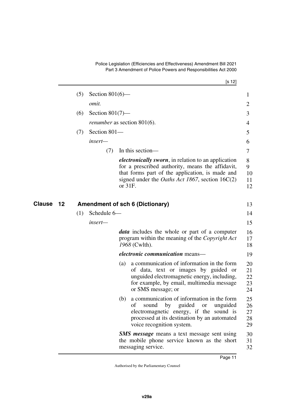Police Legislation (Efficiencies and Effectiveness) Amendment Bill 2021 Part 3 Amendment of Police Powers and Responsibilities Act 2000

[s 12]

|    | (5) | Section $801(6)$ — |            |                                                                                                                                                                                                                                 | 1                          |
|----|-----|--------------------|------------|---------------------------------------------------------------------------------------------------------------------------------------------------------------------------------------------------------------------------------|----------------------------|
|    |     | omit.              |            |                                                                                                                                                                                                                                 | $\overline{2}$             |
|    | (6) | Section $801(7)$ — |            |                                                                                                                                                                                                                                 | 3                          |
|    |     |                    |            | <i>renumber</i> as section 801(6).                                                                                                                                                                                              | 4                          |
|    | (7) | Section 801-       |            |                                                                                                                                                                                                                                 | 5                          |
|    |     | insert-            |            |                                                                                                                                                                                                                                 | 6                          |
|    |     | (7)                |            | In this section-                                                                                                                                                                                                                | 7                          |
|    |     |                    | or $31F$ . | <i>electronically sworn</i> , in relation to an application<br>for a prescribed authority, means the affidavit,<br>that forms part of the application, is made and<br>signed under the <i>Oaths Act 1867</i> , section $16C(2)$ | 8<br>9<br>10<br>11<br>12   |
| 12 |     |                    |            | <b>Amendment of sch 6 (Dictionary)</b>                                                                                                                                                                                          | 13                         |
|    | (1) | Schedule 6-        |            |                                                                                                                                                                                                                                 | 14                         |
|    |     | insert-            |            |                                                                                                                                                                                                                                 | 15                         |
|    |     |                    |            | <b><i>data</i></b> includes the whole or part of a computer<br>program within the meaning of the <i>Copyright Act</i><br>1968 (Cwlth).                                                                                          | 16<br>17<br>18             |
|    |     |                    |            | <i>electronic communication</i> means—                                                                                                                                                                                          | 19                         |
|    |     |                    | (a)        | a communication of information in the form<br>of data, text or images by guided or<br>unguided electromagnetic energy, including,<br>for example, by email, multimedia message<br>or SMS message; or                            | 20<br>21<br>22<br>23<br>24 |
|    |     |                    | (b)        | a communication of information in the form<br>guided<br>οf<br>sound<br>by<br>unguided<br><b>or</b><br>electromagnetic energy, if the sound is<br>processed at its destination by an automated<br>voice recognition system.      | 25<br>26<br>27<br>28<br>29 |
|    |     |                    |            | <b>SMS</b> message means a text message sent using<br>the mobile phone service known as the short<br>messaging service.                                                                                                         | 30<br>31<br>32             |

<span id="page-12-1"></span><span id="page-12-0"></span>**Clause** 13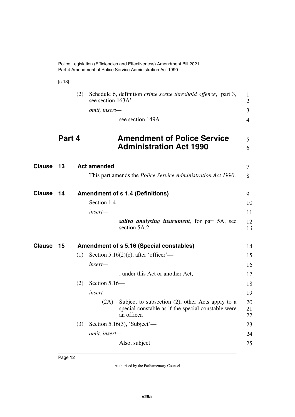<span id="page-13-3"></span><span id="page-13-1"></span>

| ٠ |  | × |
|---|--|---|
|---|--|---|

<span id="page-13-7"></span><span id="page-13-6"></span><span id="page-13-5"></span><span id="page-13-4"></span><span id="page-13-2"></span><span id="page-13-0"></span>

|               |        | (2) | see section $163A'$ — | Schedule 6, definition <i>crime scene threshold offence</i> , 'part 3,                                                | $\mathbf{1}$<br>$\overline{2}$ |
|---------------|--------|-----|-----------------------|-----------------------------------------------------------------------------------------------------------------------|--------------------------------|
|               |        |     | omit, insert-         |                                                                                                                       | 3                              |
|               |        |     |                       | see section 149A                                                                                                      | $\overline{4}$                 |
|               | Part 4 |     |                       | <b>Amendment of Police Service</b><br><b>Administration Act 1990</b>                                                  | 5<br>6                         |
|               |        |     |                       |                                                                                                                       |                                |
| <b>Clause</b> | 13     |     | <b>Act amended</b>    |                                                                                                                       | 7                              |
|               |        |     |                       | This part amends the <i>Police Service Administration Act 1990</i> .                                                  | 8                              |
| <b>Clause</b> | 14     |     |                       | <b>Amendment of s 1.4 (Definitions)</b>                                                                               | 9                              |
|               |        |     | Section 1.4-          |                                                                                                                       | 10                             |
|               |        |     | insert-               |                                                                                                                       | 11                             |
|               |        |     |                       | saliva analysing instrument, for part 5A, see<br>section 5A.2.                                                        | 12<br>13                       |
| Clause        | 15     |     |                       | <b>Amendment of s 5.16 (Special constables)</b>                                                                       | 14                             |
|               |        | (1) |                       | Section 5.16(2)(c), after 'officer'—                                                                                  | 15                             |
|               |        |     | insert-               |                                                                                                                       | 16                             |
|               |        |     |                       | , under this Act or another Act,                                                                                      | 17                             |
|               |        | (2) | Section 5.16-         |                                                                                                                       | 18                             |
|               |        |     | insert-               |                                                                                                                       | 19                             |
|               |        |     | (2A)                  | Subject to subsection (2), other Acts apply to a<br>special constable as if the special constable were<br>an officer. | 20<br>21<br>22                 |
|               |        | (3) |                       | Section 5.16(3), 'Subject' $-$                                                                                        | 23                             |
|               |        |     | omit, insert-         |                                                                                                                       | 24                             |
|               |        |     |                       | Also, subject                                                                                                         | 25                             |
|               |        |     |                       |                                                                                                                       |                                |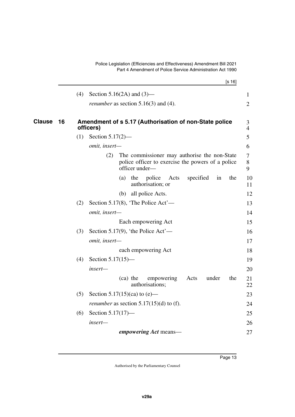<span id="page-14-1"></span><span id="page-14-0"></span>

|               |    |     | [s 16]                                                                                                                     |
|---------------|----|-----|----------------------------------------------------------------------------------------------------------------------------|
|               |    | (4) | Section 5.16(2A) and $(3)$ —                                                                                               |
|               |    |     | <i>renumber</i> as section $5.16(3)$ and $(4)$ .                                                                           |
| <b>Clause</b> | 16 |     | Amendment of s 5.17 (Authorisation of non-State police<br>officers)                                                        |
|               |    | (1) | Section $5.17(2)$ —                                                                                                        |
|               |    |     | omit, insert-                                                                                                              |
|               |    |     | The commissioner may authorise the non-State<br>(2)<br>police officer to exercise the powers of a police<br>officer under- |
|               |    |     | police<br>specified<br>the<br>(a)<br>the<br>Acts<br>in<br>authorisation; or                                                |
|               |    |     | all police Acts.<br>(b)                                                                                                    |
|               |    | (2) | Section 5.17(8), 'The Police Act'—                                                                                         |
|               |    |     | omit, insert-                                                                                                              |
|               |    |     | Each empowering Act                                                                                                        |
|               |    | (3) | Section 5.17(9), 'the Police Act'—                                                                                         |
|               |    |     | omit, insert-                                                                                                              |
|               |    |     | each empowering Act                                                                                                        |
|               |    | (4) | Section $5.17(15)$ —                                                                                                       |
|               |    |     | insert-                                                                                                                    |
|               |    |     | the<br>(ca) the<br>empowering<br>Acts<br>under<br>authorisations;                                                          |
|               |    | (5) | Section 5.17(15)(ca) to (e)—                                                                                               |
|               |    |     | <i>renumber</i> as section $5.17(15)(d)$ to (f).                                                                           |
|               |    | (6) | Section $5.17(17)$ —                                                                                                       |
|               |    |     | insert-                                                                                                                    |
|               |    |     | <i>empowering Act</i> means—                                                                                               |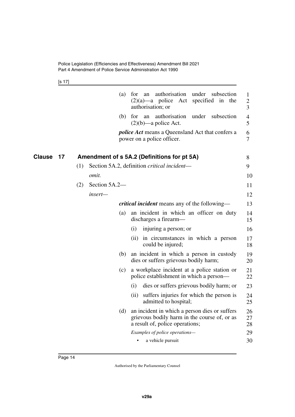<span id="page-15-1"></span>[s 17]

<span id="page-15-0"></span>

|              | authorisation<br>under<br>(a)<br>for<br>an<br>subsection<br>$(2)(a)$ —a police Act<br>specified<br>in<br>the<br>authorisation; or       | 1<br>$\overline{2}$<br>3 |
|--------------|-----------------------------------------------------------------------------------------------------------------------------------------|--------------------------|
|              | authorisation<br>under<br>subsection<br>(b)<br>for<br>an<br>$(2)(b)$ —a police Act.                                                     | $\overline{4}$<br>5      |
|              | <i>police Act</i> means a Queensland Act that confers a<br>power on a police officer.                                                   | 6<br>$\overline{7}$      |
| Clause<br>17 | Amendment of s 5A.2 (Definitions for pt 5A)                                                                                             | 8                        |
|              | Section 5A.2, definition critical incident—<br>(1)                                                                                      | 9                        |
|              | omit.                                                                                                                                   | 10                       |
|              | Section 5A.2-<br>(2)                                                                                                                    | 11                       |
|              | insert—                                                                                                                                 | 12                       |
|              | <i>critical incident</i> means any of the following—                                                                                    | 13                       |
|              | an incident in which an officer on duty<br>(a)<br>discharges a firearm-                                                                 | 14<br>15                 |
|              | injuring a person; or<br>(i)                                                                                                            | 16                       |
|              | in circumstances in which a person<br>(i)<br>could be injured;                                                                          | 17<br>18                 |
|              | an incident in which a person in custody<br>(b)<br>dies or suffers grievous bodily harm;                                                | 19<br>20                 |
|              | a workplace incident at a police station or<br>(c)<br>police establishment in which a person—                                           | 21<br>22                 |
|              | dies or suffers grievous bodily harm; or<br>(i)                                                                                         | 23                       |
|              | suffers injuries for which the person is<br>(ii)<br>admitted to hospital;                                                               | 24<br>25                 |
|              | an incident in which a person dies or suffers<br>(d)<br>grievous bodily harm in the course of, or as<br>a result of, police operations; | 26<br>27<br>28           |
|              | Examples of police operations-                                                                                                          | 29                       |
|              | a vehicle pursuit<br>٠                                                                                                                  | 30                       |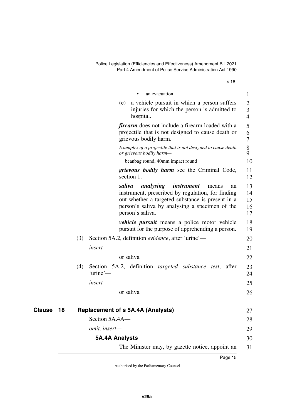[s 18]

<span id="page-16-3"></span><span id="page-16-2"></span><span id="page-16-1"></span><span id="page-16-0"></span>

|                     | an evacuation                                                                                                                                                                                                                | 1                          |
|---------------------|------------------------------------------------------------------------------------------------------------------------------------------------------------------------------------------------------------------------------|----------------------------|
|                     | a vehicle pursuit in which a person suffers<br>(e)<br>injuries for which the person is admitted to<br>hospital.                                                                                                              | 2<br>3<br>$\overline{4}$   |
|                     | <i>firearm</i> does not include a firearm loaded with a<br>projectile that is not designed to cause death or<br>grievous bodily harm.                                                                                        | 5<br>6<br>7                |
|                     | Examples of a projectile that is not designed to cause death<br>or grievous bodily harm-                                                                                                                                     | 8<br>9                     |
|                     | beanbag round, 40mm impact round                                                                                                                                                                                             | 10                         |
|                     | <i>grievous bodily harm</i> see the Criminal Code,<br>section 1.                                                                                                                                                             | 11<br>12                   |
|                     | saliva<br>analysing instrument<br>means<br>an<br>instrument, prescribed by regulation, for finding<br>out whether a targeted substance is present in a<br>person's saliva by analysing a specimen of the<br>person's saliva. | 13<br>14<br>15<br>16<br>17 |
|                     | <i>vehicle pursuit</i> means a police motor vehicle<br>pursuit for the purpose of apprehending a person.                                                                                                                     | 18<br>19                   |
|                     | Section 5A.2, definition evidence, after 'urine'—<br>(3)                                                                                                                                                                     | 20                         |
|                     | insert-                                                                                                                                                                                                                      | 21                         |
|                     | or saliva                                                                                                                                                                                                                    | 22                         |
|                     | Section 5A.2, definition <i>targeted substance test</i> , after<br>(4)<br>'urine'—                                                                                                                                           | 23<br>24                   |
|                     | insert—                                                                                                                                                                                                                      | 25                         |
|                     | or saliva                                                                                                                                                                                                                    | 26                         |
| <b>Clause</b><br>18 | <b>Replacement of s 5A.4A (Analysts)</b>                                                                                                                                                                                     | 27                         |
|                     | Section 5A.4A-                                                                                                                                                                                                               | 28                         |
|                     | omit, insert-                                                                                                                                                                                                                | 29                         |
|                     | <b>5A.4A Analysts</b>                                                                                                                                                                                                        | 30                         |
|                     | The Minister may, by gazette notice, appoint an                                                                                                                                                                              | 31                         |
|                     | Page 15                                                                                                                                                                                                                      |                            |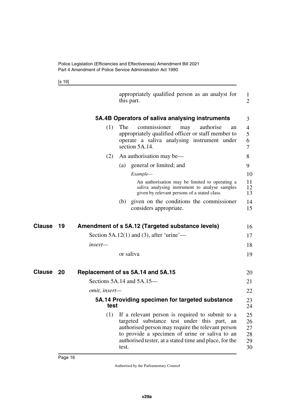<span id="page-17-1"></span><span id="page-17-0"></span>[s 19]

<span id="page-17-7"></span><span id="page-17-6"></span><span id="page-17-5"></span><span id="page-17-4"></span><span id="page-17-3"></span><span id="page-17-2"></span>

|              |                      | appropriately qualified person as an analyst for<br>this part.                                                                                                                                                                                                           |                                  |  |  |  |
|--------------|----------------------|--------------------------------------------------------------------------------------------------------------------------------------------------------------------------------------------------------------------------------------------------------------------------|----------------------------------|--|--|--|
|              |                      | 5A.4B Operators of saliva analysing instruments                                                                                                                                                                                                                          | 3                                |  |  |  |
|              | (1)                  | authorise<br>The<br>commissioner<br>may<br>an<br>appropriately qualified officer or staff member to<br>operate a saliva analysing instrument under<br>section 5A.14.                                                                                                     | 4<br>5<br>6<br>7                 |  |  |  |
|              | (2)                  | An authorisation may be—                                                                                                                                                                                                                                                 | 8                                |  |  |  |
|              |                      | (a) general or limited; and                                                                                                                                                                                                                                              | 9                                |  |  |  |
|              |                      | Example-                                                                                                                                                                                                                                                                 | 10                               |  |  |  |
|              |                      | An authorisation may be limited to operating a<br>saliva analysing instrument to analyse samples<br>given by relevant persons of a stated class.                                                                                                                         | 11<br>12<br>13                   |  |  |  |
|              |                      | given on the conditions the commissioner<br>(b)<br>considers appropriate.                                                                                                                                                                                                | 14<br>15                         |  |  |  |
| Clause<br>19 |                      | Amendment of s 5A.12 (Targeted substance levels)                                                                                                                                                                                                                         | 16                               |  |  |  |
|              |                      | Section $5A.12(1)$ and (3), after 'urine'—                                                                                                                                                                                                                               | 17                               |  |  |  |
|              | insert—              |                                                                                                                                                                                                                                                                          | 18                               |  |  |  |
|              |                      | or saliva                                                                                                                                                                                                                                                                | 19                               |  |  |  |
| Clause 20    |                      | Replacement of ss 5A.14 and 5A.15                                                                                                                                                                                                                                        | 20                               |  |  |  |
|              |                      | Sections $5A.14$ and $5A.15$ —                                                                                                                                                                                                                                           | 21                               |  |  |  |
|              | <i>omit, insert—</i> |                                                                                                                                                                                                                                                                          | 22                               |  |  |  |
|              | test                 | 5A.14 Providing specimen for targeted substance                                                                                                                                                                                                                          | 23<br>24                         |  |  |  |
|              | (1)                  | If a relevant person is required to submit to a<br>targeted substance test under this part, an<br>authorised person may require the relevant person<br>to provide a specimen of urine or saliva to an<br>authorised tester, at a stated time and place, for the<br>test. | 25<br>26<br>27<br>28<br>29<br>30 |  |  |  |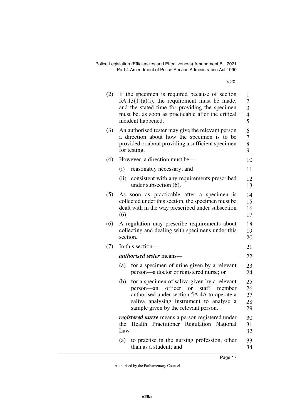| (2) | If the specimen is required because of section<br>$5A.13(1)(a)(i)$ , the requirement must be made,<br>and the stated time for providing the specimen<br>must be, as soon as practicable after the critical<br>incident happened.               |                            |  |  |  |  |  |  |  |
|-----|------------------------------------------------------------------------------------------------------------------------------------------------------------------------------------------------------------------------------------------------|----------------------------|--|--|--|--|--|--|--|
| (3) | An authorised tester may give the relevant person<br>a direction about how the specimen is to be<br>provided or about providing a sufficient specimen<br>for testing.                                                                          |                            |  |  |  |  |  |  |  |
| (4) | However, a direction must be—                                                                                                                                                                                                                  | 10                         |  |  |  |  |  |  |  |
|     | (i)<br>reasonably necessary; and                                                                                                                                                                                                               | 11                         |  |  |  |  |  |  |  |
|     | (ii) consistent with any requirements prescribed<br>under subsection (6).                                                                                                                                                                      | 12<br>13                   |  |  |  |  |  |  |  |
| (5) | soon as practicable after a specimen is<br>As<br>collected under this section, the specimen must be<br>dealt with in the way prescribed under subsection<br>(6).                                                                               | 14<br>15<br>16<br>17       |  |  |  |  |  |  |  |
| (6) | A regulation may prescribe requirements about<br>collecting and dealing with specimens under this<br>section.                                                                                                                                  |                            |  |  |  |  |  |  |  |
| (7) | In this section-                                                                                                                                                                                                                               | 21                         |  |  |  |  |  |  |  |
|     | <i>authorised tester</i> means—                                                                                                                                                                                                                | 22                         |  |  |  |  |  |  |  |
|     | for a specimen of urine given by a relevant<br>(a)<br>person—a doctor or registered nurse; or                                                                                                                                                  | 23<br>24                   |  |  |  |  |  |  |  |
|     | for a specimen of saliva given by a relevant<br>(b)<br>officer<br>staff<br><b>or</b><br>person—an<br>member<br>authorised under section 5A.4A to operate a<br>saliva analysing instrument to analyse a<br>sample given by the relevant person. | 25<br>26<br>27<br>28<br>29 |  |  |  |  |  |  |  |
|     | <i>registered nurse</i> means a person registered under<br>Practitioner Regulation National<br>Health<br>the<br>$Law-$                                                                                                                         | 30<br>31<br>32             |  |  |  |  |  |  |  |
|     | to practise in the nursing profession, other<br>(a)<br>than as a student; and                                                                                                                                                                  | 33<br>34                   |  |  |  |  |  |  |  |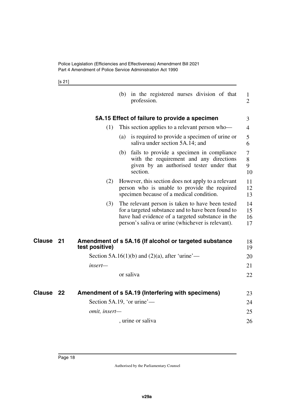<span id="page-19-1"></span><span id="page-19-0"></span>[s 21]

<span id="page-19-5"></span><span id="page-19-4"></span><span id="page-19-3"></span><span id="page-19-2"></span>

|        |    |                            |     | (b) in the registered nurses division of that<br>profession.                                                                                                                                                    | $\mathbf{1}$<br>$\overline{2}$ |
|--------|----|----------------------------|-----|-----------------------------------------------------------------------------------------------------------------------------------------------------------------------------------------------------------------|--------------------------------|
|        |    |                            |     | 5A.15 Effect of failure to provide a specimen                                                                                                                                                                   | 3                              |
|        |    | (1)                        |     | This section applies to a relevant person who-                                                                                                                                                                  | 4                              |
|        |    |                            | (a) | is required to provide a specimen of urine or<br>saliva under section 5A.14; and                                                                                                                                | 5<br>6                         |
|        |    |                            | (b) | fails to provide a specimen in compliance<br>with the requirement and any directions<br>given by an authorised tester under that<br>section.                                                                    | 7<br>8<br>9<br>10              |
|        |    | (2)                        |     | However, this section does not apply to a relevant<br>person who is unable to provide the required<br>specimen because of a medical condition.                                                                  | 11<br>12<br>13                 |
|        |    | (3)                        |     | The relevant person is taken to have been tested<br>for a targeted substance and to have been found to<br>have had evidence of a targeted substance in the<br>person's saliva or urine (whichever is relevant). | 14<br>15<br>16<br>17           |
| Clause | 21 | test positive)             |     | Amendment of s 5A.16 (If alcohol or targeted substance                                                                                                                                                          | 18<br>19                       |
|        |    |                            |     | Section 5A.16(1)(b) and (2)(a), after 'urine'—                                                                                                                                                                  | 20                             |
|        |    | insert—                    |     |                                                                                                                                                                                                                 | 21                             |
|        |    |                            |     | or saliva                                                                                                                                                                                                       | 22                             |
| Clause | 22 |                            |     | Amendment of s 5A.19 (Interfering with specimens)                                                                                                                                                               | 23                             |
|        |    | Section 5A.19, 'or urine'— |     |                                                                                                                                                                                                                 | 24                             |
|        |    | omit, insert-              |     |                                                                                                                                                                                                                 | 25                             |
|        |    |                            |     | , urine or saliva                                                                                                                                                                                               | 26                             |
|        |    |                            |     |                                                                                                                                                                                                                 |                                |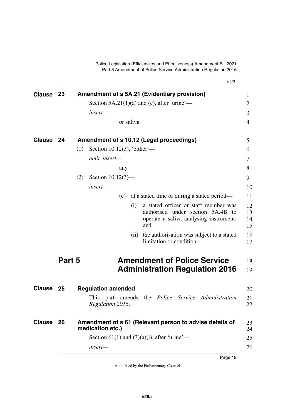[s 23]

<span id="page-20-9"></span><span id="page-20-8"></span><span id="page-20-7"></span><span id="page-20-6"></span><span id="page-20-5"></span><span id="page-20-4"></span><span id="page-20-3"></span><span id="page-20-2"></span><span id="page-20-1"></span><span id="page-20-0"></span>

| <b>Clause</b> | 23                                          |     |                                      |           | Amendment of s 5A.21 (Evidentiary provision)                                                                               |  |  |  |
|---------------|---------------------------------------------|-----|--------------------------------------|-----------|----------------------------------------------------------------------------------------------------------------------------|--|--|--|
|               | Section 5A.21(1)(a) and (c), after 'urine'— |     |                                      |           |                                                                                                                            |  |  |  |
|               |                                             |     | insert-                              |           |                                                                                                                            |  |  |  |
|               |                                             |     |                                      | or saliva |                                                                                                                            |  |  |  |
| <b>Clause</b> | -24                                         |     |                                      |           | Amendment of s 10.12 (Legal proceedings)                                                                                   |  |  |  |
|               | Section 10.12(3), 'either'—<br>(1)          |     |                                      |           |                                                                                                                            |  |  |  |
|               |                                             |     | omit, insert-                        |           |                                                                                                                            |  |  |  |
|               |                                             |     |                                      | any       |                                                                                                                            |  |  |  |
|               |                                             | (2) | Section $10.12(3)$ —                 |           |                                                                                                                            |  |  |  |
|               |                                             |     | insert-                              |           |                                                                                                                            |  |  |  |
|               |                                             |     |                                      | (c)       | at a stated time or during a stated period—                                                                                |  |  |  |
|               |                                             |     |                                      | (i)       | a stated officer or staff member was<br>authorised under section 5A.4B to<br>operate a saliva analysing instrument;<br>and |  |  |  |
|               |                                             |     |                                      | (ii)      | the authorisation was subject to a stated<br>limitation or condition.                                                      |  |  |  |
|               | Part 5                                      |     |                                      |           | <b>Amendment of Police Service</b><br><b>Administration Regulation 2016</b>                                                |  |  |  |
| <b>Clause</b> | -25                                         |     | <b>Regulation amended</b>            |           |                                                                                                                            |  |  |  |
|               |                                             |     | This part amends<br>Regulation 2016. |           | the <i>Police</i> Service <i>Administration</i>                                                                            |  |  |  |
|               |                                             |     |                                      |           |                                                                                                                            |  |  |  |
|               | 26                                          |     | medication etc.)                     |           | Amendment of s 61 (Relevant person to advise details of                                                                    |  |  |  |
| <b>Clause</b> |                                             |     |                                      |           | Section 61(1) and (3)(a)(i), after 'urine'—                                                                                |  |  |  |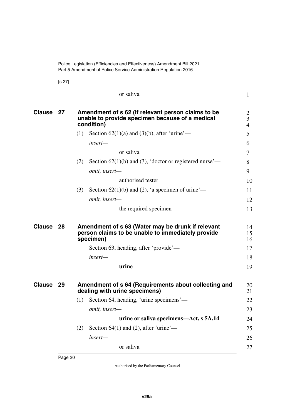<span id="page-21-1"></span><span id="page-21-0"></span>[s 27]

<span id="page-21-5"></span><span id="page-21-4"></span><span id="page-21-3"></span><span id="page-21-2"></span>

|           |    | or saliva                                                                                                           | $\mathbf{1}$                          |
|-----------|----|---------------------------------------------------------------------------------------------------------------------|---------------------------------------|
| Clause 27 |    | Amendment of s 62 (If relevant person claims to be<br>unable to provide specimen because of a medical<br>condition) | $\overline{2}$<br>3<br>$\overline{4}$ |
|           |    | Section $62(1)(a)$ and $(3)(b)$ , after 'urine'—<br>(1)                                                             | 5                                     |
|           |    | insert—                                                                                                             | 6                                     |
|           |    | or saliva                                                                                                           | 7                                     |
|           |    | Section $62(1)(b)$ and (3), 'doctor or registered nurse'—<br>(2)                                                    | 8                                     |
|           |    | omit, insert-                                                                                                       | 9                                     |
|           |    | authorised tester                                                                                                   | 10                                    |
|           |    | (3)<br>Section $62(1)(b)$ and (2), 'a specimen of urine'—                                                           | 11                                    |
|           |    | omit, insert-                                                                                                       | 12                                    |
|           |    | the required specimen                                                                                               | 13                                    |
| Clause    | 28 | Amendment of s 63 (Water may be drunk if relevant<br>person claims to be unable to immediately provide<br>specimen) | 14<br>15<br>16                        |
|           |    | Section 63, heading, after 'provide'—                                                                               | 17                                    |
|           |    | insert—                                                                                                             | 18                                    |
|           |    | urine                                                                                                               | 19                                    |
| Clause 29 |    | Amendment of s 64 (Requirements about collecting and<br>dealing with urine specimens)                               | 20<br>21                              |
|           |    | Section 64, heading, 'urine specimens'—<br>(1)                                                                      | 22                                    |
|           |    | omit, insert-                                                                                                       | 23                                    |
|           |    | urine or saliva specimens—Act, s 5A.14                                                                              | 24                                    |
|           |    | Section $64(1)$ and (2), after 'urine'—<br>(2)                                                                      | 25                                    |
|           |    | insert-                                                                                                             | 26                                    |
|           |    | or saliva                                                                                                           | 27                                    |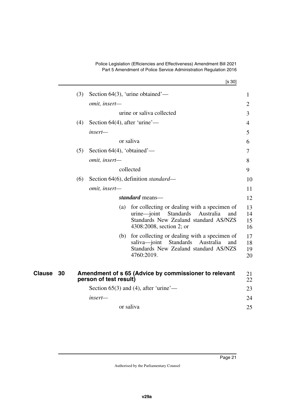<span id="page-22-1"></span><span id="page-22-0"></span>

|              |     |                                  | [s 30]                                                                                                                                                               |                      |
|--------------|-----|----------------------------------|----------------------------------------------------------------------------------------------------------------------------------------------------------------------|----------------------|
|              | (3) |                                  | Section $64(3)$ , 'urine obtained'—                                                                                                                                  | $\mathbf{1}$         |
|              |     | omit, insert-                    |                                                                                                                                                                      | $\overline{2}$       |
|              |     |                                  | urine or saliva collected                                                                                                                                            | 3                    |
|              | (4) | Section $64(4)$ , after 'urine'— |                                                                                                                                                                      | 4                    |
|              |     | insert—                          |                                                                                                                                                                      | 5                    |
|              |     |                                  | or saliva                                                                                                                                                            | 6                    |
|              | (5) | Section $64(4)$ , 'obtained'—    |                                                                                                                                                                      | 7                    |
|              |     | omit, insert-                    |                                                                                                                                                                      | 8                    |
|              |     |                                  | collected                                                                                                                                                            | 9                    |
|              | (6) |                                  | Section 64(6), definition standard—                                                                                                                                  | 10                   |
|              |     | omit, insert-                    |                                                                                                                                                                      | 11                   |
|              |     |                                  | standard means-                                                                                                                                                      | 12                   |
|              |     | (a)                              | for collecting or dealing with a specimen of<br>Standards<br>$urine$ -joint<br>Australia<br>and<br>Standards New Zealand standard AS/NZS<br>4308:2008, section 2; or | 13<br>14<br>15<br>16 |
|              |     | (b)                              | for collecting or dealing with a specimen of<br>saliva-joint<br>Standards<br>Australia<br>and<br>Standards New Zealand standard AS/NZS<br>4760:2019.                 | 17<br>18<br>19<br>20 |
| Clause<br>30 |     | person of test result)           | Amendment of s 65 (Advice by commissioner to relevant                                                                                                                | 21<br>22             |
|              |     |                                  | Section $65(3)$ and (4), after 'urine'—                                                                                                                              | 23                   |
|              |     | insert-                          |                                                                                                                                                                      | 24                   |
|              |     |                                  | or saliva                                                                                                                                                            | 25                   |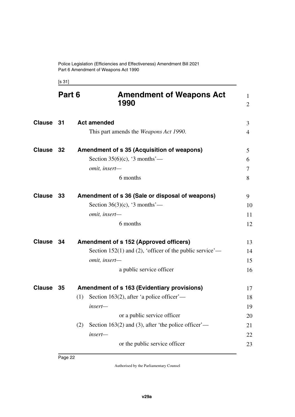Police Legislation (Efficiencies and Effectiveness) Amendment Bill 2021 Part 6 Amendment of Weapons Act 1990

<span id="page-23-5"></span><span id="page-23-3"></span><span id="page-23-2"></span><span id="page-23-1"></span><span id="page-23-0"></span>[s 31]

<span id="page-23-11"></span><span id="page-23-10"></span><span id="page-23-9"></span><span id="page-23-8"></span><span id="page-23-7"></span><span id="page-23-6"></span><span id="page-23-4"></span>

|               | Part 6 | <b>Amendment of Weapons Act</b><br>1990                    | 1<br>$\overline{2}$ |
|---------------|--------|------------------------------------------------------------|---------------------|
| Clause 31     |        | <b>Act amended</b>                                         | 3                   |
|               |        | This part amends the <i>Weapons Act 1990</i> .             | 4                   |
| Clause 32     |        | <b>Amendment of s 35 (Acquisition of weapons)</b>          | 5                   |
|               |        | Section 35(6)(c), '3 months'—                              | 6                   |
|               |        | omit, insert-                                              | 7                   |
|               |        | 6 months                                                   | 8                   |
| <b>Clause</b> | 33     | Amendment of s 36 (Sale or disposal of weapons)            | 9                   |
|               |        | Section 36(3)(c), '3 months'—                              | 10                  |
|               |        | omit, insert-                                              | 11                  |
|               |        | 6 months                                                   | 12                  |
| <b>Clause</b> | 34     | <b>Amendment of s 152 (Approved officers)</b>              | 13                  |
|               |        | Section 152(1) and (2), 'officer of the public service'—   | 14                  |
|               |        | omit, insert-                                              | 15                  |
|               |        | a public service officer                                   | 16                  |
| <b>Clause</b> | 35     | Amendment of s 163 (Evidentiary provisions)                | 17                  |
|               |        | Section 163(2), after 'a police officer'—<br>(1)           | 18                  |
|               |        | insert—                                                    | 19                  |
|               |        | or a public service officer                                | 20                  |
|               |        | Section 163(2) and (3), after 'the police officer'—<br>(2) | 21                  |
|               |        | insert-                                                    | 22                  |
|               |        | or the public service officer                              | 23                  |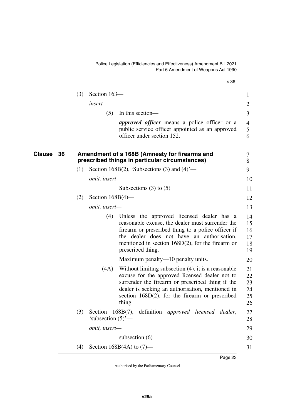Police Legislation (Efficiencies and Effectiveness) Amendment Bill 2021 Part 6 Amendment of Weapons Act 1990

<span id="page-24-1"></span><span id="page-24-0"></span>

|              |     |                                 | [s 36]                                                                                                                                                                                                                                                                          |                                  |
|--------------|-----|---------------------------------|---------------------------------------------------------------------------------------------------------------------------------------------------------------------------------------------------------------------------------------------------------------------------------|----------------------------------|
|              | (3) | Section 163-                    |                                                                                                                                                                                                                                                                                 | $\mathbf{1}$                     |
|              |     | insert—                         |                                                                                                                                                                                                                                                                                 | $\overline{2}$                   |
|              |     | (5)                             | In this section-                                                                                                                                                                                                                                                                | 3                                |
|              |     |                                 | <i>approved officer</i> means a police officer or a<br>public service officer appointed as an approved<br>officer under section 152.                                                                                                                                            | $\overline{4}$<br>5<br>6         |
| Clause<br>36 |     |                                 | Amendment of s 168B (Amnesty for firearms and<br>prescribed things in particular circumstances)                                                                                                                                                                                 | 7<br>8                           |
|              | (1) |                                 | Section 168B(2), 'Subsections (3) and $(4)$ '—                                                                                                                                                                                                                                  | 9                                |
|              |     | <i>omit, insert—</i>            |                                                                                                                                                                                                                                                                                 | 10                               |
|              |     |                                 | Subsections $(3)$ to $(5)$                                                                                                                                                                                                                                                      | 11                               |
|              | (2) | Section $168B(4)$ —             |                                                                                                                                                                                                                                                                                 | 12                               |
|              |     | omit, insert-                   |                                                                                                                                                                                                                                                                                 | 13                               |
|              |     | (4)                             | Unless the approved licensed dealer has a<br>reasonable excuse, the dealer must surrender the<br>firearm or prescribed thing to a police officer if<br>the dealer does not have an authorisation,<br>mentioned in section $168D(2)$ , for the firearm or<br>prescribed thing.   | 14<br>15<br>16<br>17<br>18<br>19 |
|              |     |                                 | Maximum penalty—10 penalty units.                                                                                                                                                                                                                                               | 20                               |
|              |     | (4A)                            | Without limiting subsection $(4)$ , it is a reasonable<br>excuse for the approved licensed dealer not to<br>surrender the firearm or prescribed thing if the<br>dealer is seeking an authorisation, mentioned in<br>section $168D(2)$ , for the firearm or prescribed<br>thing. | 21<br>22<br>23<br>24<br>25<br>26 |
|              | (3) | Section<br>'subsection $(5)$ '— | $168B(7)$ ,<br>definition <i>approved licensed dealer</i> ,                                                                                                                                                                                                                     | 27<br>28                         |
|              |     | omit, insert-                   |                                                                                                                                                                                                                                                                                 | 29                               |
|              |     |                                 | subsection $(6)$                                                                                                                                                                                                                                                                | 30                               |
|              | (4) |                                 | Section 168B $(4A)$ to $(7)$ —                                                                                                                                                                                                                                                  | 31                               |
|              |     |                                 |                                                                                                                                                                                                                                                                                 |                                  |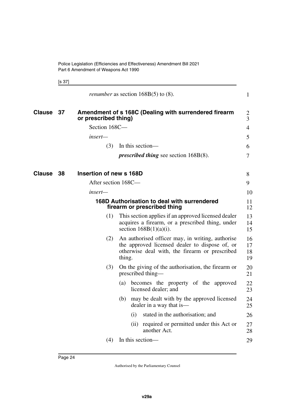<span id="page-25-5"></span><span id="page-25-4"></span><span id="page-25-1"></span><span id="page-25-0"></span>[s 37]

<span id="page-25-3"></span><span id="page-25-2"></span>

|               |    |                         |                  | <i>renumber</i> as section $168B(5)$ to $(8)$ .                                                                                                      | $\mathbf{1}$         |
|---------------|----|-------------------------|------------------|------------------------------------------------------------------------------------------------------------------------------------------------------|----------------------|
| <b>Clause</b> | 37 | or prescribed thing)    |                  | Amendment of s 168C (Dealing with surrendered firearm                                                                                                | 2<br>3               |
|               |    | Section 168C-           |                  |                                                                                                                                                      | $\overline{4}$       |
|               |    | insert—                 |                  |                                                                                                                                                      | 5                    |
|               |    | (3)                     | In this section- |                                                                                                                                                      | 6                    |
|               |    |                         |                  | <i>prescribed thing see section <math>168B(8)</math>.</i>                                                                                            | $\overline{7}$       |
| <b>Clause</b> | 38 | Insertion of new s 168D |                  |                                                                                                                                                      | 8                    |
|               |    | After section 168C-     |                  |                                                                                                                                                      | 9                    |
|               |    | insert—                 |                  |                                                                                                                                                      | 10                   |
|               |    |                         |                  | 168D Authorisation to deal with surrendered<br>firearm or prescribed thing                                                                           | 11<br>12             |
|               |    | (1)                     |                  | This section applies if an approved licensed dealer<br>acquires a firearm, or a prescribed thing, under<br>section $168B(1)(a)(i)$ .                 | 13<br>14<br>15       |
|               |    | (2)                     | thing.           | An authorised officer may, in writing, authorise<br>the approved licensed dealer to dispose of, or<br>otherwise deal with, the firearm or prescribed | 16<br>17<br>18<br>19 |
|               |    | (3)                     |                  | On the giving of the authorisation, the firearm or<br>prescribed thing—                                                                              | 20<br>21             |
|               |    |                         | (a)              | becomes the property of the approved<br>licensed dealer; and                                                                                         | 22<br>23             |
|               |    |                         | (b)              | may be dealt with by the approved licensed<br>dealer in a way that is—                                                                               | 24<br>25             |
|               |    |                         | (i)              | stated in the authorisation; and                                                                                                                     | 26                   |
|               |    |                         | (ii)             | required or permitted under this Act or<br>another Act.                                                                                              | 27<br>28             |
|               |    | (4)                     |                  | In this section-                                                                                                                                     | 29                   |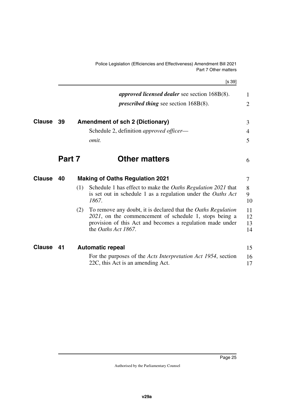<span id="page-26-3"></span><span id="page-26-1"></span>Police Legislation (Efficiencies and Effectiveness) Amendment Bill 2021 Part 7 Other matters

<span id="page-26-7"></span><span id="page-26-6"></span><span id="page-26-5"></span><span id="page-26-4"></span><span id="page-26-2"></span><span id="page-26-0"></span>

|               |        |     |                                                                                                                                                                                                             | [s 39]               |
|---------------|--------|-----|-------------------------------------------------------------------------------------------------------------------------------------------------------------------------------------------------------------|----------------------|
|               |        |     | approved licensed dealer see section 168B(8).                                                                                                                                                               | 1                    |
|               |        |     | <i>prescribed thing see section <math>168B(8)</math>.</i>                                                                                                                                                   | $\overline{2}$       |
| <b>Clause</b> | 39     |     | <b>Amendment of sch 2 (Dictionary)</b>                                                                                                                                                                      | 3                    |
|               |        |     | Schedule 2, definition approved officer-                                                                                                                                                                    | $\overline{4}$       |
|               |        |     | omit.                                                                                                                                                                                                       | 5                    |
|               | Part 7 |     | <b>Other matters</b>                                                                                                                                                                                        | 6                    |
| <b>Clause</b> | 40     |     | <b>Making of Oaths Regulation 2021</b>                                                                                                                                                                      | $\tau$               |
|               |        | (1) | Schedule 1 has effect to make the Oaths Regulation 2021 that<br>is set out in schedule 1 as a regulation under the Oaths Act<br>1867.                                                                       | 8<br>9<br>10         |
|               |        | (2) | To remove any doubt, it is declared that the Oaths Regulation<br>2021, on the commencement of schedule 1, stops being a<br>provision of this Act and becomes a regulation made under<br>the Oaths Act 1867. | 11<br>12<br>13<br>14 |
| <b>Clause</b> | 41     |     | <b>Automatic repeal</b>                                                                                                                                                                                     | 15                   |
|               |        |     | For the purposes of the <i>Acts Interpretation Act 1954</i> , section<br>22C, this Act is an amending Act.                                                                                                  | 16<br>17             |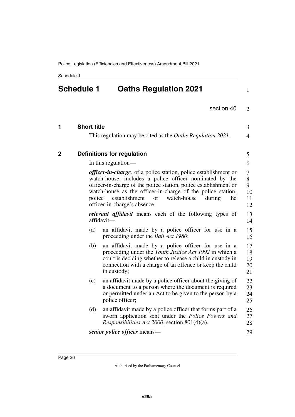<span id="page-27-1"></span><span id="page-27-0"></span>Schedule 1

#### **Schedule 1 Oaths Regulation 2021** 1

| 2 |
|---|
|   |

<span id="page-27-5"></span><span id="page-27-4"></span><span id="page-27-3"></span><span id="page-27-2"></span>

| 1            | <b>Short title</b> |                                                                                                                                                                                                                                                                                                                                                                     | 3                             |
|--------------|--------------------|---------------------------------------------------------------------------------------------------------------------------------------------------------------------------------------------------------------------------------------------------------------------------------------------------------------------------------------------------------------------|-------------------------------|
|              |                    | This regulation may be cited as the <i>Oaths Regulation 2021</i> .                                                                                                                                                                                                                                                                                                  | $\overline{4}$                |
| $\mathbf{2}$ |                    | <b>Definitions for regulation</b>                                                                                                                                                                                                                                                                                                                                   | 5                             |
|              |                    | In this regulation—                                                                                                                                                                                                                                                                                                                                                 | 6                             |
|              | police             | <i>officer-in-charge</i> , of a police station, police establishment or<br>watch-house, includes a police officer nominated by the<br>officer-in-charge of the police station, police establishment or<br>watch-house as the officer-in-charge of the police station,<br>establishment<br>watch-house<br>during<br>the<br><b>or</b><br>officer-in-charge's absence. | 7<br>8<br>9<br>10<br>11<br>12 |
|              |                    | <i>relevant affidavit</i> means each of the following types of<br>affidavit-                                                                                                                                                                                                                                                                                        | 13<br>14                      |
|              | (a)                | an affidavit made by a police officer for use in a<br>proceeding under the <i>Bail Act 1980</i> ;                                                                                                                                                                                                                                                                   | 15<br>16                      |
|              | (b)                | an affidavit made by a police officer for use in a<br>proceeding under the Youth Justice Act 1992 in which a<br>court is deciding whether to release a child in custody in<br>connection with a charge of an offence or keep the child<br>in custody;                                                                                                               | 17<br>18<br>19<br>20<br>21    |
|              | (c)                | an affidavit made by a police officer about the giving of<br>a document to a person where the document is required<br>or permitted under an Act to be given to the person by a<br>police officer;                                                                                                                                                                   | 22<br>23<br>24<br>25          |
|              | (d)                | an affidavit made by a police officer that forms part of a<br>sworn application sent under the Police Powers and<br><i>Responsibilities Act 2000</i> , section 801(4)(a).                                                                                                                                                                                           | 26<br>27<br>28                |
|              |                    | senior police officer means—                                                                                                                                                                                                                                                                                                                                        | 29                            |
|              |                    |                                                                                                                                                                                                                                                                                                                                                                     |                               |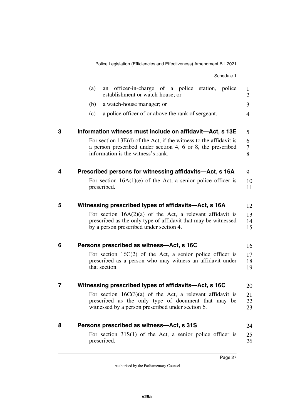<span id="page-28-11"></span><span id="page-28-10"></span><span id="page-28-9"></span><span id="page-28-8"></span><span id="page-28-7"></span><span id="page-28-6"></span><span id="page-28-5"></span><span id="page-28-4"></span><span id="page-28-3"></span><span id="page-28-2"></span><span id="page-28-1"></span><span id="page-28-0"></span>Schedule 1 (a) an officer-in-charge of a police station, police establishment or watch-house; or (b) a watch-house manager; or (c) a police officer of or above the rank of sergeant. **3 Information witness must include on affidavit—Act, s 13E** For section 13E(d) of the Act, if the witness to the affidavit is a person prescribed under section 4, 6 or 8, the prescribed information is the witness's rank. **4 Prescribed persons for witnessing affidavits—Act, s 16A** For section  $16A(1)(e)$  of the Act, a senior police officer is prescribed. **5 Witnessing prescribed types of affidavits—Act, s 16A** For section  $16A(2)(a)$  of the Act, a relevant affidavit is prescribed as the only type of affidavit that may be witnessed by a person prescribed under section 4. **6 Persons prescribed as witness—Act, s 16C** For section 16C(2) of the Act, a senior police officer is prescribed as a person who may witness an affidavit under that section. **7 Witnessing prescribed types of affidavits—Act, s 16C** For section  $16C(3)(a)$  of the Act, a relevant affidavit is prescribed as the only type of document that may be witnessed by a person prescribed under section 6. **8 Persons prescribed as witness—Act, s 31S** For section 31S(1) of the Act, a senior police officer is prescribed. 1  $\mathfrak{D}$ 3 4 5 6 7 8 9 10 11 12 13 14 15 16 17 18 19 20 21 22 23 24 25 26